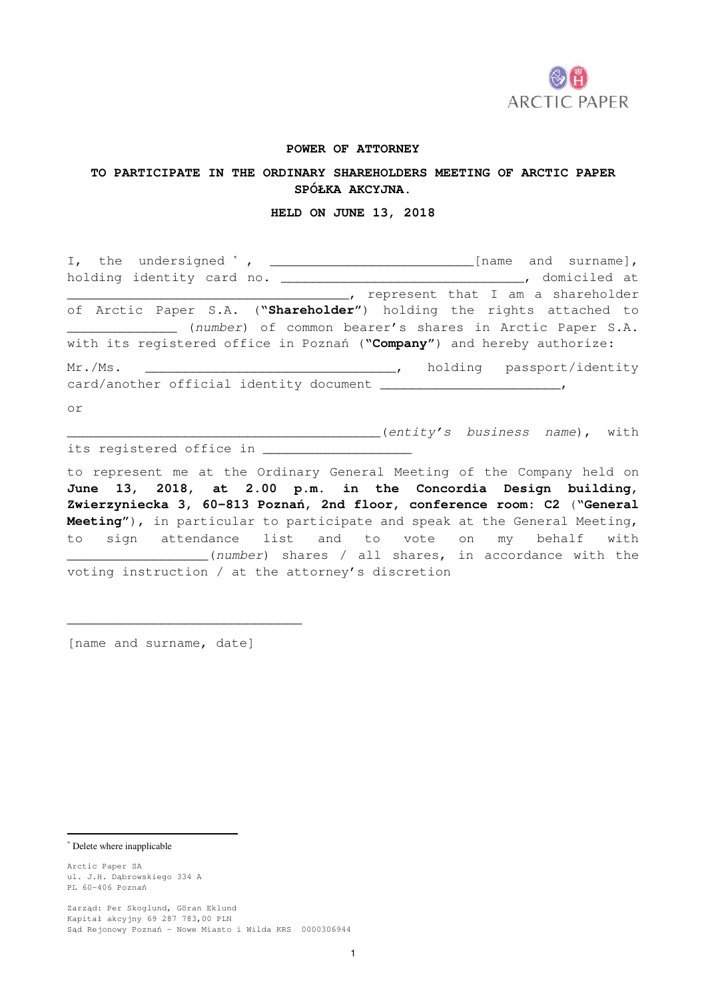

#### **POWER OF ATTORNEY**

### **TO PARTICIPATE IN THE ORDINARY SHAREHOLDERS MEETING OF ARCTIC PAPER SPÓŁKA AKCYJNA.**

#### **HELD ON JUNE 13, 2018**

| I, the undersigned ', ______________________________[name and surname], |
|-------------------------------------------------------------------------|
| holding identity card no.<br>domiciled at                               |
| represent that I am a shareholder                                       |
| of Arctic Paper S.A. ("Shareholder") holding the rights attached to     |
| (number) of common bearer's shares in Arctic Paper S.A.                 |
| with its registered office in Poznań ("Company") and hereby authorize:  |
| Mr./Ms.<br>holding passport/identity                                    |
|                                                                         |
| or                                                                      |

\_\_\_\_\_\_\_\_\_\_\_\_\_\_\_\_\_\_\_\_\_\_\_\_\_\_\_\_\_\_\_\_\_\_\_\_\_\_\_\_(entity's business name), with its registered office in

to represent me at the Ordinary General Meeting of the Company held on **June 13, 2018, at 2.00 p.m. in the Concordia Design building, Zwierzyniecka 3, 60-813 Poznań, 2nd floor, conference room: C2** ("**General Meeting**"), in particular to participate and speak at the General Meeting, to sign attendance list and to vote on my behalf with  $(number)$  shares / all shares, in accordance with the voting instruction / at the attorney's discretion

[name and surname, date]

\_\_\_\_\_\_\_\_\_\_\_\_\_\_\_\_\_\_\_\_\_\_\_\_\_\_\_\_\_\_

\* Delete where inapplicable

 $\overline{a}$ 

Arctic Paper SA ul. J.H. Dąbrowskiego 334 A PL 60-406 Poznań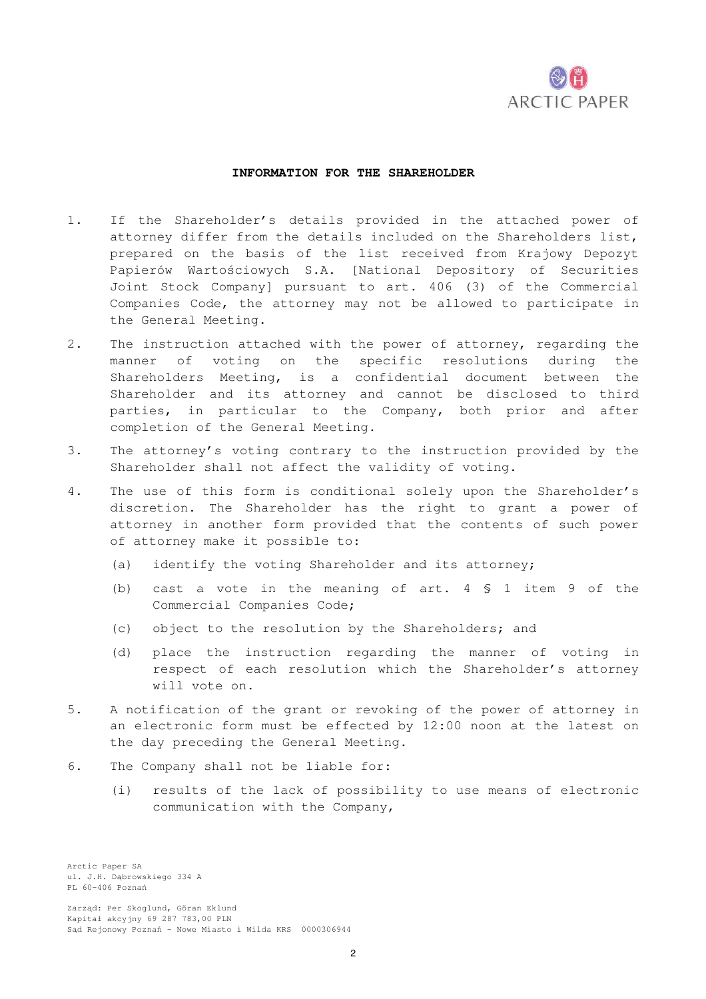

## **INFORMATION FOR THE SHAREHOLDER**

- 1. If the Shareholder's details provided in the attached power of attorney differ from the details included on the Shareholders list, prepared on the basis of the list received from Krajowy Depozyt Papierów Wartościowych S.A. [National Depository of Securities Joint Stock Company] pursuant to art. 406 (3) of the Commercial Companies Code, the attorney may not be allowed to participate in the General Meeting.
- 2. The instruction attached with the power of attorney, regarding the manner of voting on the specific resolutions during the Shareholders Meeting, is a confidential document between the Shareholder and its attorney and cannot be disclosed to third parties, in particular to the Company, both prior and after completion of the General Meeting.
- 3. The attorney's voting contrary to the instruction provided by the Shareholder shall not affect the validity of voting.
- 4. The use of this form is conditional solely upon the Shareholder's discretion. The Shareholder has the right to grant a power of attorney in another form provided that the contents of such power of attorney make it possible to:
	- (a) identify the voting Shareholder and its attorney;
	- (b) cast a vote in the meaning of art. 4 § 1 item 9 of the Commercial Companies Code;
	- (c) object to the resolution by the Shareholders; and
	- (d) place the instruction regarding the manner of voting in respect of each resolution which the Shareholder's attorney will vote on.
- 5. A notification of the grant or revoking of the power of attorney in an electronic form must be effected by 12:00 noon at the latest on the day preceding the General Meeting.
- 6. The Company shall not be liable for:
	- (i) results of the lack of possibility to use means of electronic communication with the Company,

Arctic Paper SA ul. J.H. Dąbrowskiego 334 A PL 60-406 Poznań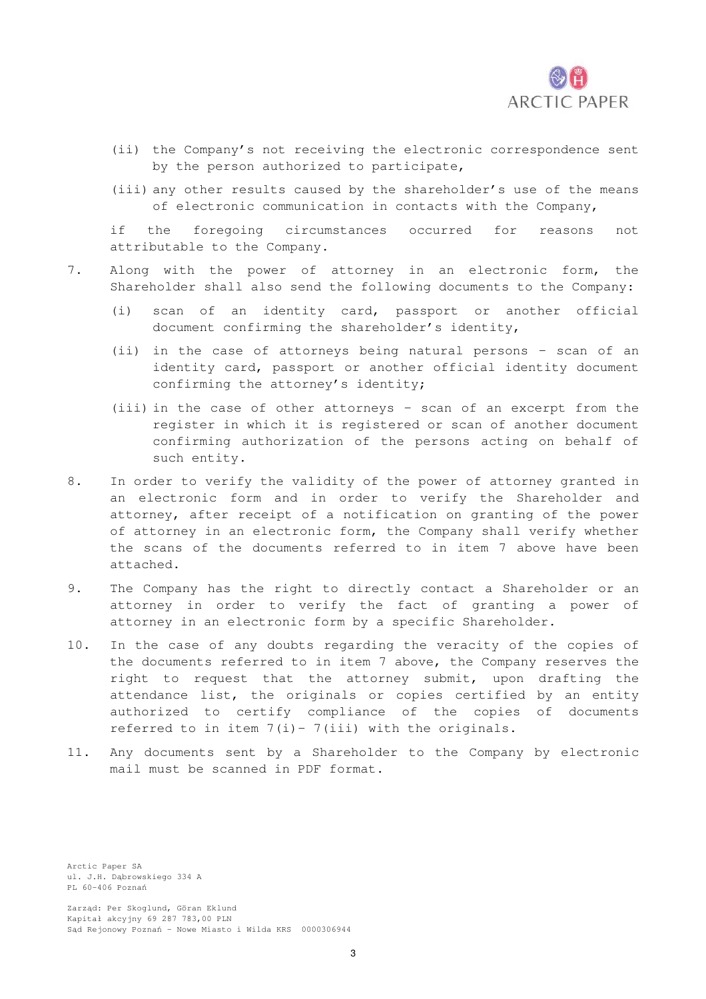

- (ii) the Company's not receiving the electronic correspondence sent by the person authorized to participate,
- (iii) any other results caused by the shareholder's use of the means of electronic communication in contacts with the Company,

if the foregoing circumstances occurred for reasons not attributable to the Company.

- 7. Along with the power of attorney in an electronic form, the Shareholder shall also send the following documents to the Company:
	- (i) scan of an identity card, passport or another official document confirming the shareholder's identity,
	- (ii) in the case of attorneys being natural persons scan of an identity card, passport or another official identity document confirming the attorney's identity;
	- (iii) in the case of other attorneys scan of an excerpt from the register in which it is registered or scan of another document confirming authorization of the persons acting on behalf of such entity.
- 8. In order to verify the validity of the power of attorney granted in an electronic form and in order to verify the Shareholder and attorney, after receipt of a notification on granting of the power of attorney in an electronic form, the Company shall verify whether the scans of the documents referred to in item 7 above have been attached.
- 9. The Company has the right to directly contact a Shareholder or an attorney in order to verify the fact of granting a power of attorney in an electronic form by a specific Shareholder.
- 10. In the case of any doubts regarding the veracity of the copies of the documents referred to in item 7 above, the Company reserves the right to request that the attorney submit, upon drafting the attendance list, the originals or copies certified by an entity authorized to certify compliance of the copies of documents referred to in item  $7(i)$  -  $7(iii)$  with the originals.
- 11. Any documents sent by a Shareholder to the Company by electronic mail must be scanned in PDF format.

Arctic Paper SA ul. J.H. Dąbrowskiego 334 A PL 60-406 Poznań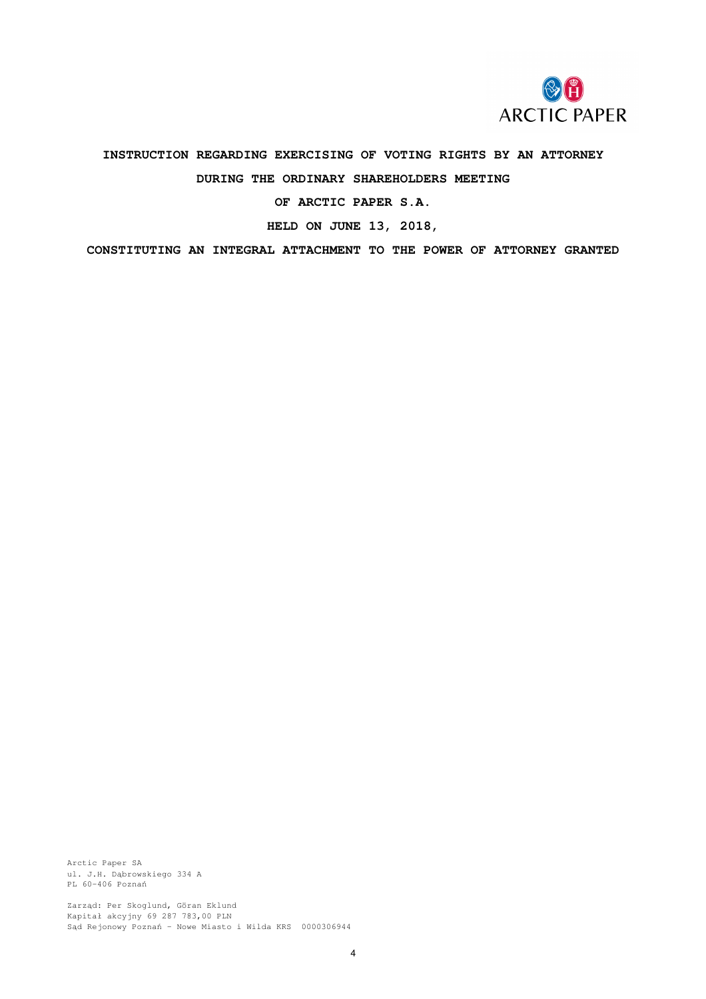

# **INSTRUCTION REGARDING EXERCISING OF VOTING RIGHTS BY AN ATTORNEY DURING THE ORDINARY SHAREHOLDERS MEETING**

#### **OF ARCTIC PAPER S.A.**

**HELD ON JUNE 13, 2018,** 

**CONSTITUTING AN INTEGRAL ATTACHMENT TO THE POWER OF ATTORNEY GRANTED** 

Arctic Paper SA ul. J.H. Dąbrowskiego 334 A PL 60-406 Poznań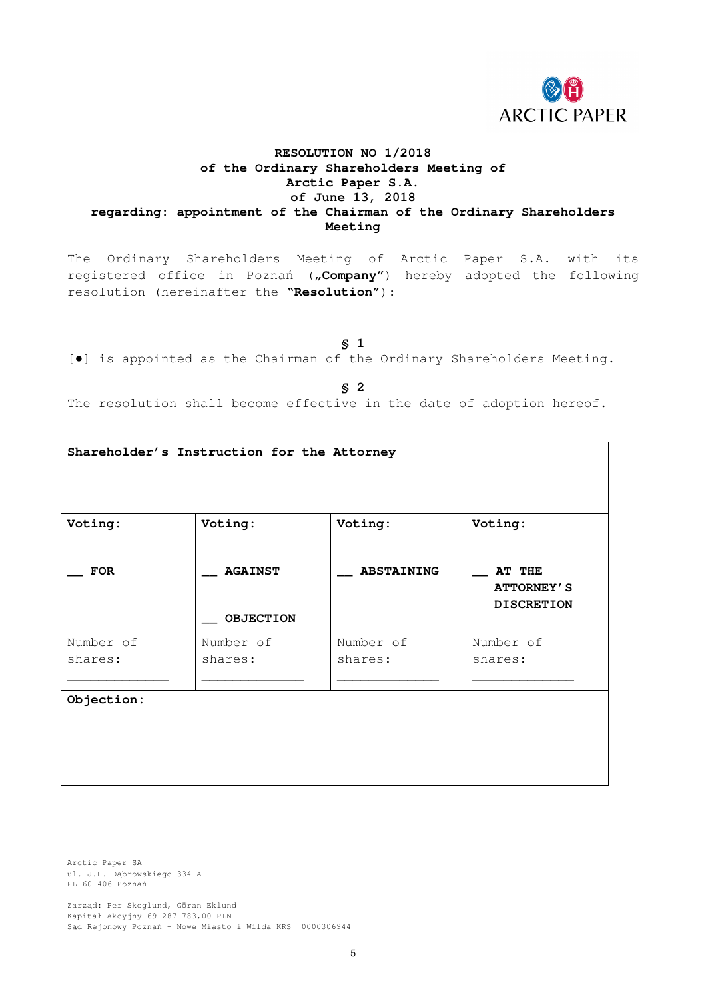

## **RESOLUTION NO 1/2018 of the Ordinary Shareholders Meeting of Arctic Paper S.A. of June 13, 2018 regarding: appointment of the Chairman of the Ordinary Shareholders Meeting**

The Ordinary Shareholders Meeting of Arctic Paper S.A. with its registered office in Poznań ("Company") hereby adopted the following resolution (hereinafter the **"Resolution"**):

**§ 1** 

[●] is appointed as the Chairman of the Ordinary Shareholders Meeting.

**§ 2** 

The resolution shall become effective in the date of adoption hereof.

| Shareholder's Instruction for the Attorney |                                    |                      |                                                  |
|--------------------------------------------|------------------------------------|----------------------|--------------------------------------------------|
| Voting:                                    | Voting:                            | Voting:              | Voting:                                          |
| <b>FOR</b>                                 | <b>AGAINST</b><br><b>OBJECTION</b> | <b>ABSTAINING</b>    | AT THE<br><b>ATTORNEY'S</b><br><b>DISCRETION</b> |
| Number of<br>shares:                       | Number of<br>shares:               | Number of<br>shares: | Number of<br>shares:                             |
| Objection:                                 |                                    |                      |                                                  |

Arctic Paper SA ul. J.H. Dąbrowskiego 334 A PL 60-406 Poznań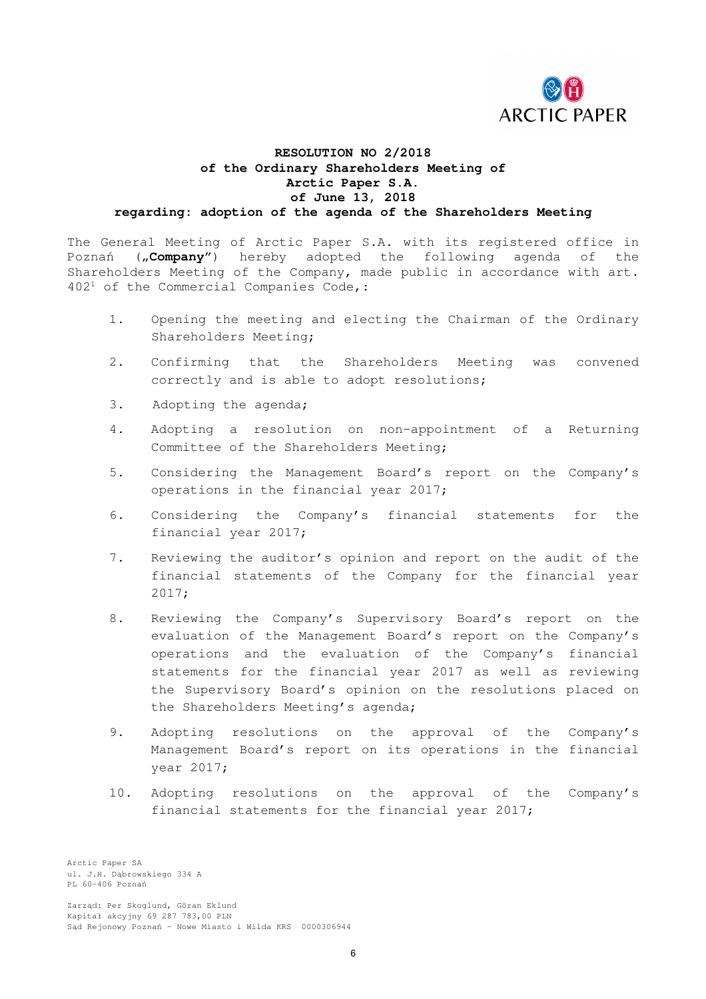

## **RESOLUTION NO 2/2018 of the Ordinary Shareholders Meeting of Arctic Paper S.A. of June 13, 2018 regarding: adoption of the agenda of the Shareholders Meeting**

The General Meeting of Arctic Paper S.A. with its registered office in Poznań ("Company") hereby adopted the following agenda of the Shareholders Meeting of the Company, made public in accordance with art. 402<sup>1</sup> of the Commercial Companies Code,:

- 1. Opening the meeting and electing the Chairman of the Ordinary Shareholders Meeting;
- 2. Confirming that the Shareholders Meeting was convened correctly and is able to adopt resolutions;
- 3. Adopting the agenda;
- 4. Adopting a resolution on non-appointment of a Returning Committee of the Shareholders Meeting;
- 5. Considering the Management Board's report on the Company's operations in the financial year 2017;
- 6. Considering the Company's financial statements for the financial year 2017;
- 7. Reviewing the auditor's opinion and report on the audit of the financial statements of the Company for the financial year 2017;
- 8. Reviewing the Company's Supervisory Board's report on the evaluation of the Management Board's report on the Company's operations and the evaluation of the Company's financial statements for the financial year 2017 as well as reviewing the Supervisory Board's opinion on the resolutions placed on the Shareholders Meeting's agenda;
- 9. Adopting resolutions on the approval of the Company's Management Board's report on its operations in the financial year 2017;
- 10. Adopting resolutions on the approval of the Company's financial statements for the financial year 2017;

Arctic Paper SA ul. J.H. Dąbrowskiego 334 A PL 60-406 Poznań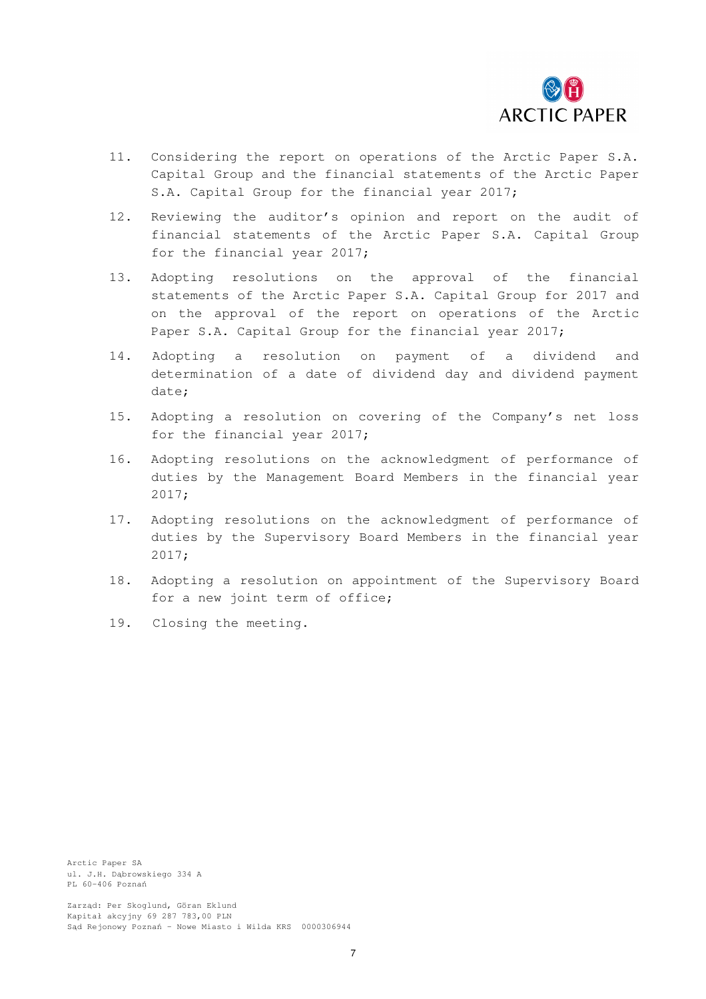

- 11. Considering the report on operations of the Arctic Paper S.A. Capital Group and the financial statements of the Arctic Paper S.A. Capital Group for the financial year 2017;
- 12. Reviewing the auditor's opinion and report on the audit of financial statements of the Arctic Paper S.A. Capital Group for the financial year 2017;
- 13. Adopting resolutions on the approval of the financial statements of the Arctic Paper S.A. Capital Group for 2017 and on the approval of the report on operations of the Arctic Paper S.A. Capital Group for the financial year 2017;
- 14. Adopting a resolution on payment of a dividend and determination of a date of dividend day and dividend payment date;
- 15. Adopting a resolution on covering of the Company's net loss for the financial year 2017;
- 16. Adopting resolutions on the acknowledgment of performance of duties by the Management Board Members in the financial year 2017;
- 17. Adopting resolutions on the acknowledgment of performance of duties by the Supervisory Board Members in the financial year 2017;
- 18. Adopting a resolution on appointment of the Supervisory Board for a new joint term of office;
- 19. Closing the meeting.

Arctic Paper SA ul. J.H. Dąbrowskiego 334 A PL 60-406 Poznań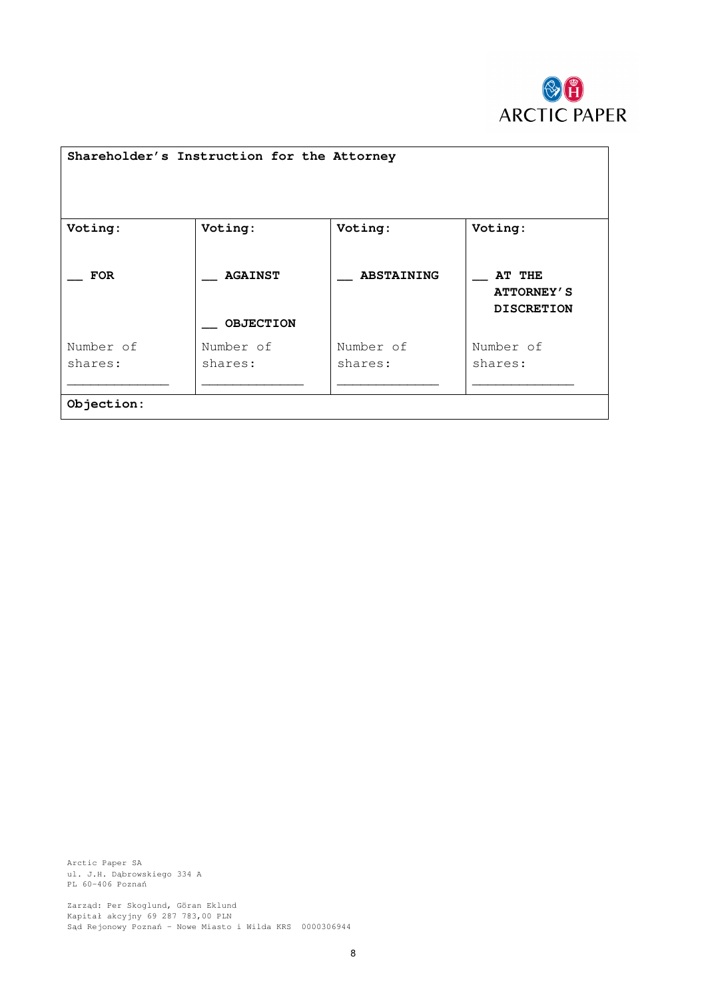

| Shareholder's Instruction for the Attorney |                                    |                      |                                                  |
|--------------------------------------------|------------------------------------|----------------------|--------------------------------------------------|
| Voting:                                    | Voting:                            | Voting:              | Voting:                                          |
| <b>FOR</b>                                 | <b>AGAINST</b><br><b>OBJECTION</b> | <b>ABSTAINING</b>    | AT THE<br><b>ATTORNEY'S</b><br><b>DISCRETION</b> |
| Number of<br>shares:                       | Number of<br>shares:               | Number of<br>shares: | Number of<br>shares:                             |
| Objection:                                 |                                    |                      |                                                  |

Arctic Paper SA ul. J.H. Dąbrowskiego 334 A PL 60-406 Poznań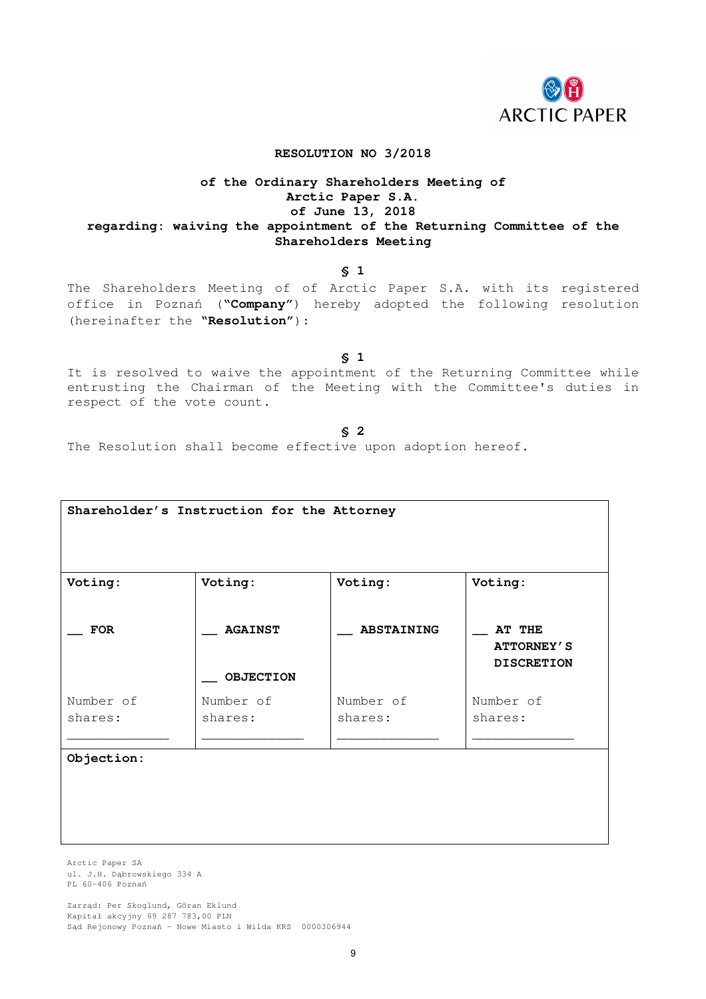

#### **RESOLUTION NO 3/2018**

## **of the Ordinary Shareholders Meeting of Arctic Paper S.A. of June 13, 2018 regarding: waiving the appointment of the Returning Committee of the Shareholders Meeting**

#### **§ 1**

The Shareholders Meeting of of Arctic Paper S.A. with its registered office in Poznań ("**Company**") hereby adopted the following resolution (hereinafter the **"Resolution"**):

**§ 1** 

It is resolved to waive the appointment of the Returning Committee while entrusting the Chairman of the Meeting with the Committee's duties in respect of the vote count.

**§ 2** 

The Resolution shall become effective upon adoption hereof.

| Shareholder's Instruction for the Attorney |                                    |                      |                                                  |
|--------------------------------------------|------------------------------------|----------------------|--------------------------------------------------|
| Voting:                                    | Voting:                            | Voting:              | Voting:                                          |
| <b>FOR</b>                                 | <b>AGAINST</b><br><b>OBJECTION</b> | <b>ABSTAINING</b>    | AT THE<br><b>ATTORNEY'S</b><br><b>DISCRETION</b> |
| Number of<br>shares:                       | Number of<br>shares:               | Number of<br>shares: | Number of<br>shares:                             |
| Objection:                                 |                                    |                      |                                                  |

Arctic Paper SA ul. J.H. Dąbrowskiego 334 A PL 60-406 Poznań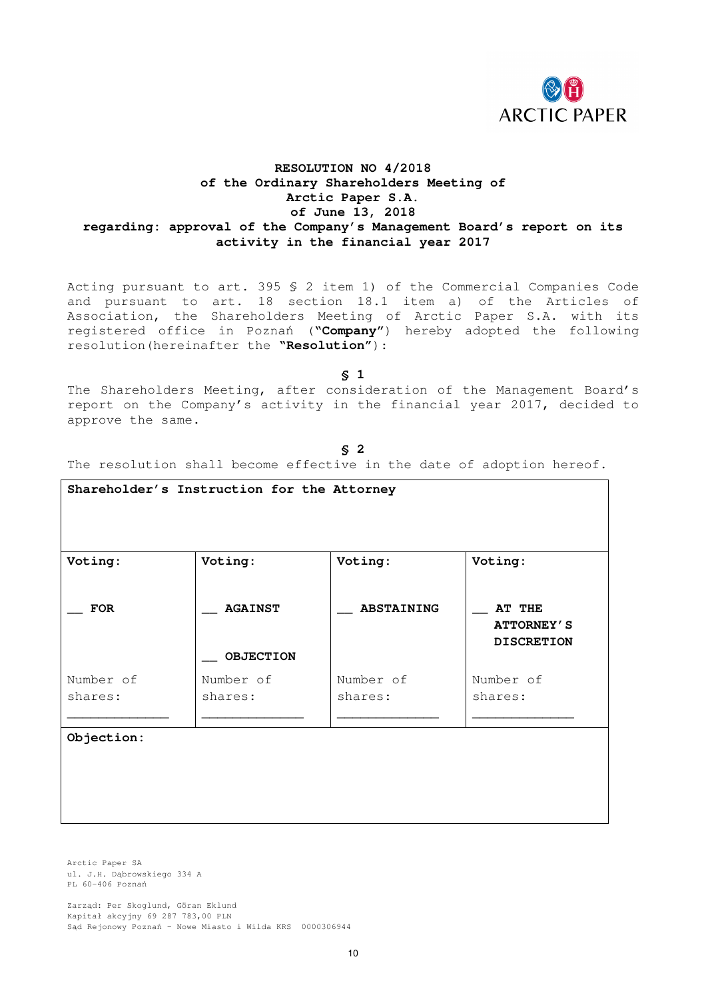

## **RESOLUTION NO 4/2018 of the Ordinary Shareholders Meeting of Arctic Paper S.A. of June 13, 2018 regarding: approval of the Company's Management Board's report on its activity in the financial year 2017**

Acting pursuant to art. 395 § 2 item 1) of the Commercial Companies Code and pursuant to art. 18 section 18.1 item a) of the Articles of Association, the Shareholders Meeting of Arctic Paper S.A. with its registered office in Poznań ("**Company**") hereby adopted the following resolution(hereinafter the **"Resolution"**):

**§ 1** 

The Shareholders Meeting, after consideration of the Management Board's report on the Company's activity in the financial year 2017, decided to approve the same.

#### **§ 2**

The resolution shall become effective in the date of adoption hereof.

|                      | Shareholder's Instruction for the Attorney |                      |                                                  |
|----------------------|--------------------------------------------|----------------------|--------------------------------------------------|
| Voting:              | Voting:                                    | Voting:              | Voting:                                          |
| <b>FOR</b>           | <b>AGAINST</b><br><b>OBJECTION</b>         | <b>ABSTAINING</b>    | AT THE<br><b>ATTORNEY'S</b><br><b>DISCRETION</b> |
| Number of<br>shares: | Number of<br>shares:                       | Number of<br>shares: | Number of<br>shares:                             |
| Objection:           |                                            |                      |                                                  |

Arctic Paper SA ul. J.H. Dąbrowskiego 334 A PL 60-406 Poznań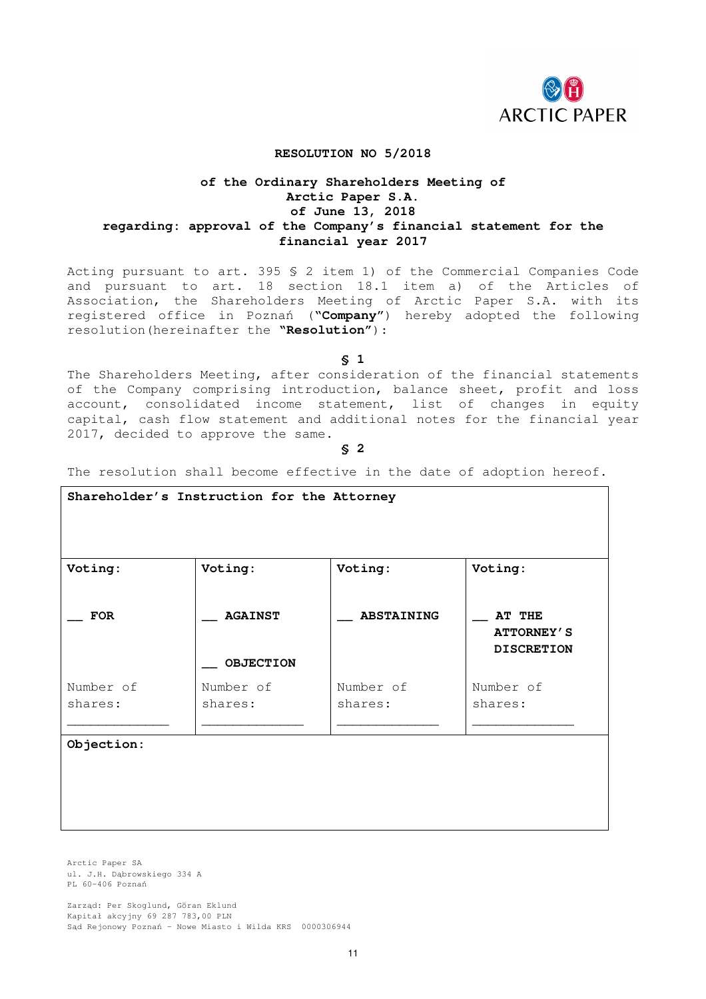

#### **RESOLUTION NO 5/2018**

### **of the Ordinary Shareholders Meeting of Arctic Paper S.A. of June 13, 2018 regarding: approval of the Company's financial statement for the financial year 2017**

Acting pursuant to art. 395 § 2 item 1) of the Commercial Companies Code and pursuant to art. 18 section 18.1 item a) of the Articles of Association, the Shareholders Meeting of Arctic Paper S.A. with its registered office in Poznań ("**Company**") hereby adopted the following resolution(hereinafter the **"Resolution"**):

**§ 1** 

The Shareholders Meeting, after consideration of the financial statements of the Company comprising introduction, balance sheet, profit and loss account, consolidated income statement, list of changes in equity capital, cash flow statement and additional notes for the financial year 2017, decided to approve the same.

#### **§ 2**

The resolution shall become effective in the date of adoption hereof.

| Shareholder's Instruction for the Attorney |                                    |                      |                                                  |  |  |
|--------------------------------------------|------------------------------------|----------------------|--------------------------------------------------|--|--|
| Voting:                                    | Voting:<br>Voting:<br>Voting:      |                      |                                                  |  |  |
| <b>FOR</b>                                 | <b>AGAINST</b><br><b>OBJECTION</b> | <b>ABSTAINING</b>    | AT THE<br><b>ATTORNEY'S</b><br><b>DISCRETION</b> |  |  |
| Number of<br>shares:                       | Number of<br>shares:               | Number of<br>shares: | Number of<br>shares:                             |  |  |
| Objection:                                 |                                    |                      |                                                  |  |  |

Arctic Paper SA ul. J.H. Dąbrowskiego 334 A PL 60-406 Poznań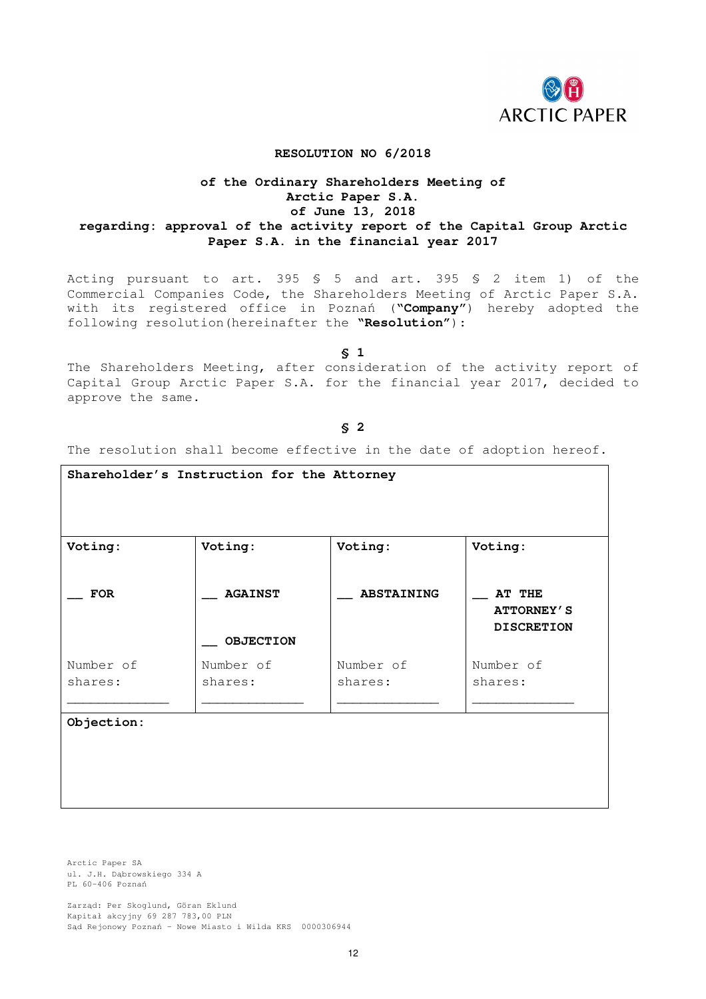

#### **RESOLUTION NO 6/2018**

## **of the Ordinary Shareholders Meeting of Arctic Paper S.A. of June 13, 2018 regarding: approval of the activity report of the Capital Group Arctic Paper S.A. in the financial year 2017**

Acting pursuant to art. 395 § 5 and art. 395 § 2 item 1) of the Commercial Companies Code, the Shareholders Meeting of Arctic Paper S.A. with its registered office in Poznań ("**Company**") hereby adopted the following resolution(hereinafter the **"Resolution"**):

**§ 1** 

The Shareholders Meeting, after consideration of the activity report of Capital Group Arctic Paper S.A. for the financial year 2017, decided to approve the same.

**§ 2** 

The resolution shall become effective in the date of adoption hereof.

| Shareholder's Instruction for the Attorney |                                    |                   |                                                  |  |  |  |
|--------------------------------------------|------------------------------------|-------------------|--------------------------------------------------|--|--|--|
| Voting:                                    | Voting:<br>Voting:<br>Voting:      |                   |                                                  |  |  |  |
| <b>FOR</b>                                 | <b>AGAINST</b><br><b>OBJECTION</b> | <b>ABSTAINING</b> | AT THE<br><b>ATTORNEY'S</b><br><b>DISCRETION</b> |  |  |  |
| Number of                                  | Number of                          | Number of         | Number of                                        |  |  |  |
| shares:                                    | shares:                            | shares:           | shares:                                          |  |  |  |
|                                            |                                    |                   |                                                  |  |  |  |
| Objection:                                 |                                    |                   |                                                  |  |  |  |

Arctic Paper SA ul. J.H. Dąbrowskiego 334 A PL 60-406 Poznań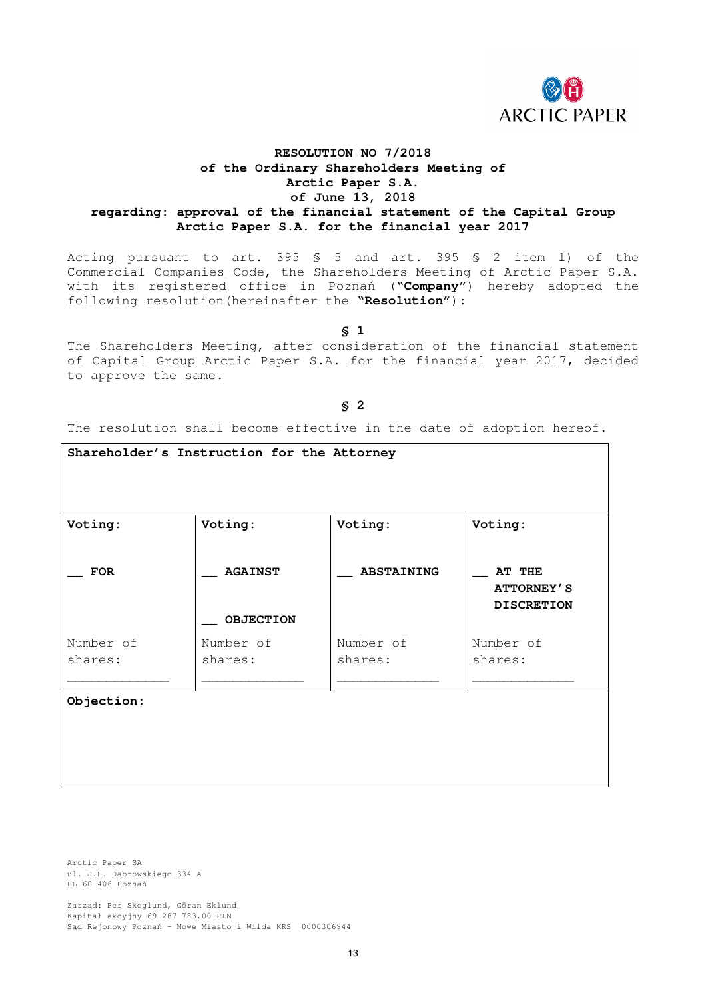

### **RESOLUTION NO 7/2018 of the Ordinary Shareholders Meeting of Arctic Paper S.A. of June 13, 2018 regarding: approval of the financial statement of the Capital Group Arctic Paper S.A. for the financial year 2017**

Acting pursuant to art. 395 § 5 and art. 395 § 2 item 1) of the Commercial Companies Code, the Shareholders Meeting of Arctic Paper S.A. with its registered office in Poznań ("**Company**") hereby adopted the following resolution(hereinafter the **"Resolution"**):

#### **§ 1**

The Shareholders Meeting, after consideration of the financial statement of Capital Group Arctic Paper S.A. for the financial year 2017, decided to approve the same.

#### **§ 2**

The resolution shall become effective in the date of adoption hereof.

|                      | Shareholder's Instruction for the Attorney |                      |                                                  |
|----------------------|--------------------------------------------|----------------------|--------------------------------------------------|
| Voting:              | Voting:                                    | Voting:              | Voting:                                          |
| <b>FOR</b>           | <b>AGAINST</b><br><b>OBJECTION</b>         | <b>ABSTAINING</b>    | AT THE<br><b>ATTORNEY'S</b><br><b>DISCRETION</b> |
| Number of<br>shares: | Number of<br>shares:                       | Number of<br>shares: | Number of<br>shares:                             |
| Objection:           |                                            |                      |                                                  |

Arctic Paper SA ul. J.H. Dąbrowskiego 334 A PL 60-406 Poznań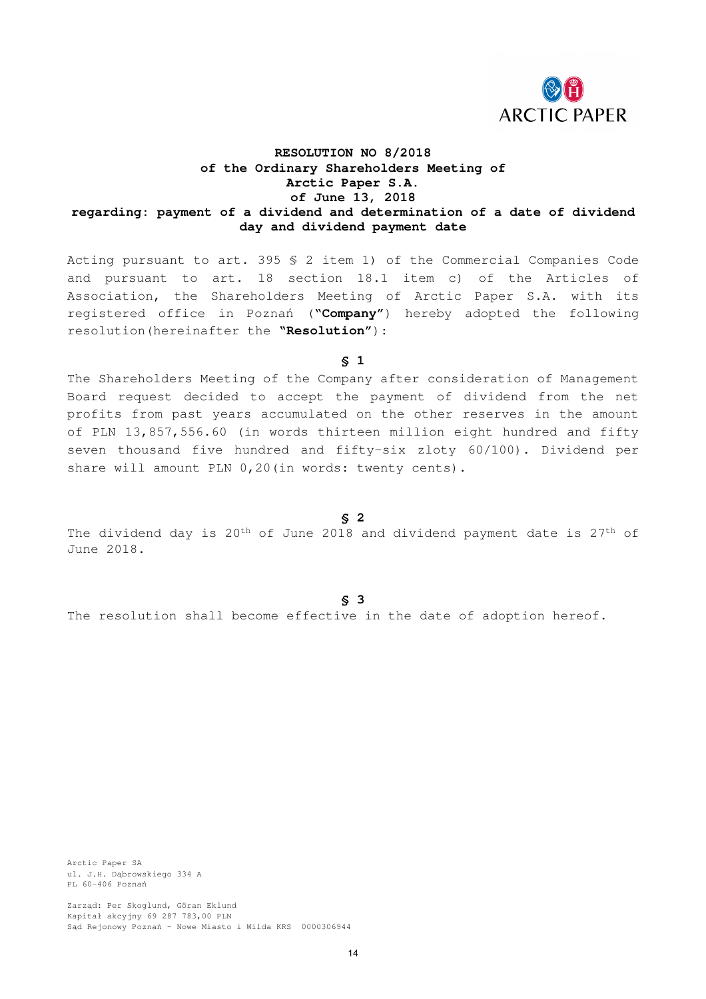

## **RESOLUTION NO 8/2018 of the Ordinary Shareholders Meeting of Arctic Paper S.A. of June 13, 2018 regarding: payment of a dividend and determination of a date of dividend day and dividend payment date**

Acting pursuant to art. 395 § 2 item 1) of the Commercial Companies Code and pursuant to art. 18 section 18.1 item c) of the Articles of Association, the Shareholders Meeting of Arctic Paper S.A. with its registered office in Poznań ("**Company"**) hereby adopted the following resolution(hereinafter the **"Resolution"**):

**§ 1** 

The Shareholders Meeting of the Company after consideration of Management Board request decided to accept the payment of dividend from the net profits from past years accumulated on the other reserves in the amount of PLN 13,857,556.60 (in words thirteen million eight hundred and fifty seven thousand five hundred and fifty-six zloty 60/100). Dividend per share will amount PLN 0,20(in words: twenty cents).

**§ 2** 

The dividend day is 20th of June 2018 and dividend payment date is 27th of June 2018.

**§ 3** 

The resolution shall become effective in the date of adoption hereof.

Arctic Paper SA ul. J.H. Dąbrowskiego 334 A PL 60-406 Poznań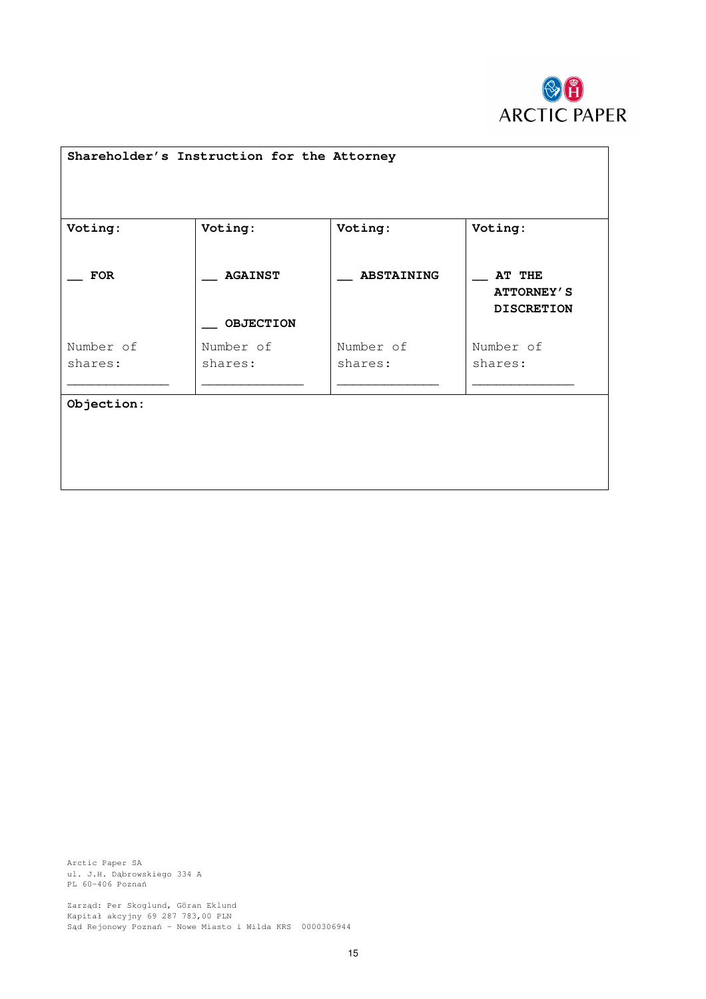

| Shareholder's Instruction for the Attorney |                                    |                   |                                                  |
|--------------------------------------------|------------------------------------|-------------------|--------------------------------------------------|
| Voting:                                    | Voting:                            | Voting:           | Voting:                                          |
| <b>FOR</b>                                 | <b>AGAINST</b><br><b>OBJECTION</b> | <b>ABSTAINING</b> | AT THE<br><b>ATTORNEY'S</b><br><b>DISCRETION</b> |
| Number of                                  | Number of                          | Number of         | Number of                                        |
| shares:                                    | shares:                            | shares:           | shares:                                          |
|                                            |                                    |                   |                                                  |
| Objection:                                 |                                    |                   |                                                  |

Arctic Paper SA ul. J.H. Dąbrowskiego 334 A PL 60-406 Poznań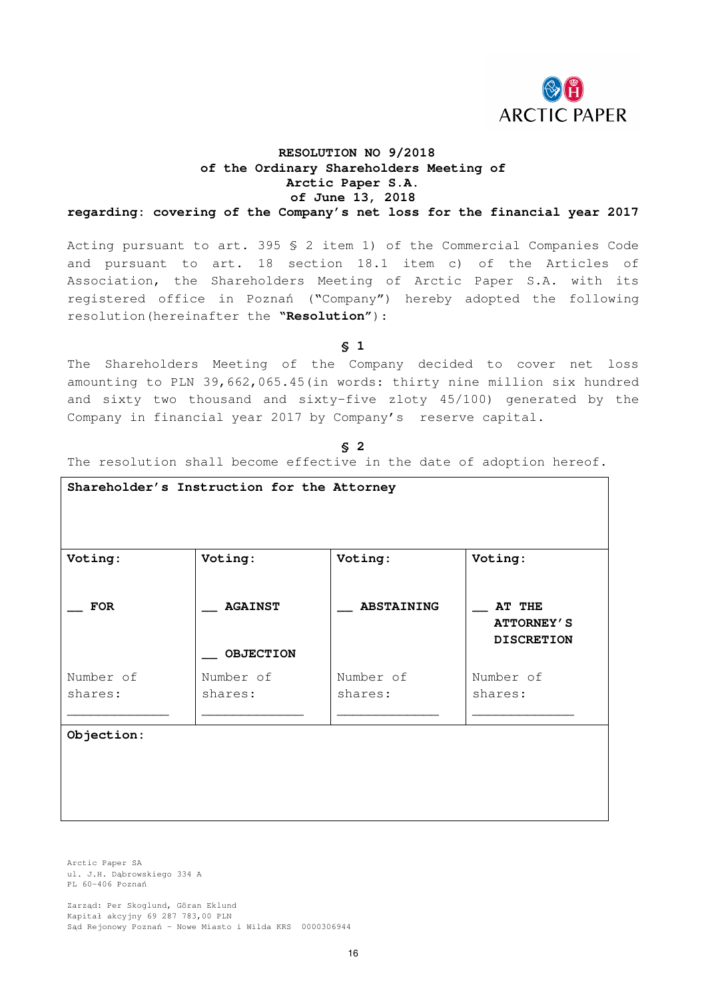

## **RESOLUTION NO 9/2018 of the Ordinary Shareholders Meeting of Arctic Paper S.A. of June 13, 2018**

**regarding: covering of the Company's net loss for the financial year 2017** 

Acting pursuant to art. 395 § 2 item 1) of the Commercial Companies Code and pursuant to art. 18 section 18.1 item c) of the Articles of Association, the Shareholders Meeting of Arctic Paper S.A. with its registered office in Poznań ("Company") hereby adopted the following resolution(hereinafter the **"Resolution"**):

**§ 1** 

The Shareholders Meeting of the Company decided to cover net loss amounting to PLN 39,662,065.45(in words: thirty nine million six hundred and sixty two thousand and sixty-five zloty 45/100) generated by the Company in financial year 2017 by Company's reserve capital.

#### **§ 2**

The resolution shall become effective in the date of adoption hereof.

| Shareholder's Instruction for the Attorney |                                    |                      |                                                  |
|--------------------------------------------|------------------------------------|----------------------|--------------------------------------------------|
|                                            |                                    |                      |                                                  |
| Voting:                                    | Voting:                            | Voting:              | Voting:                                          |
| <b>FOR</b>                                 | <b>AGAINST</b><br><b>OBJECTION</b> | <b>ABSTAINING</b>    | AT THE<br><b>ATTORNEY'S</b><br><b>DISCRETION</b> |
| Number of<br>shares:                       | Number of<br>shares:               | Number of<br>shares: | Number of<br>shares:                             |
| Objection:                                 |                                    |                      |                                                  |

Arctic Paper SA ul. J.H. Dąbrowskiego 334 A PL 60-406 Poznań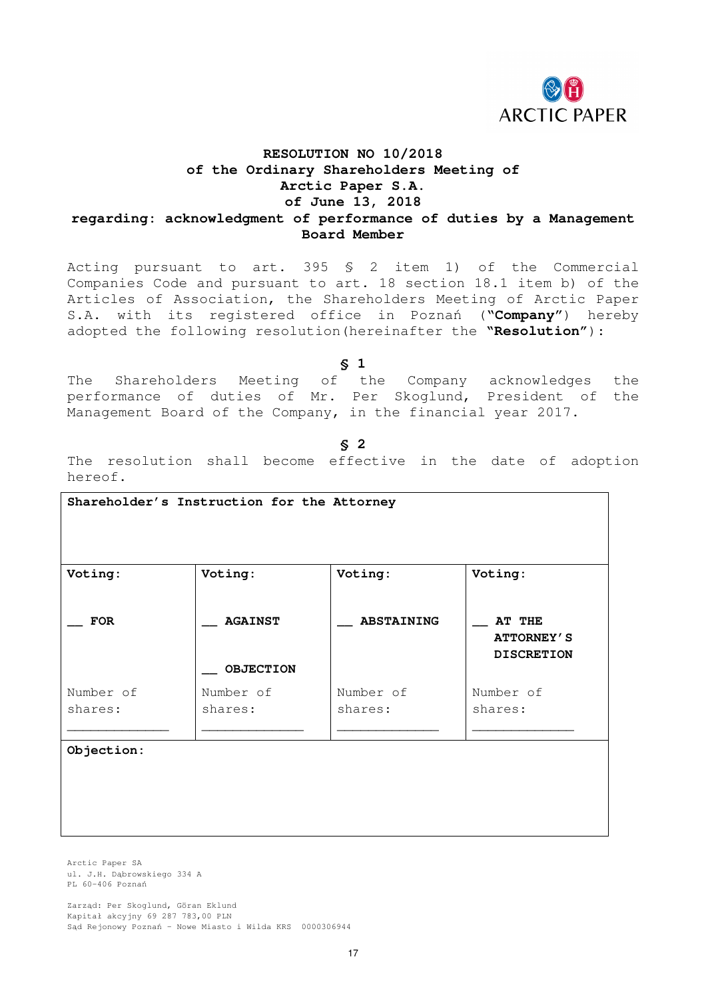

## **RESOLUTION NO 10/2018 of the Ordinary Shareholders Meeting of Arctic Paper S.A. of June 13, 2018 regarding: acknowledgment of performance of duties by a Management Board Member**

Acting pursuant to art. 395 § 2 item 1) of the Commercial Companies Code and pursuant to art. 18 section 18.1 item b) of the Articles of Association, the Shareholders Meeting of Arctic Paper S.A. with its registered office in Poznań ("**Company**") hereby adopted the following resolution(hereinafter the **"Resolution"**):

**§ 1** 

The Shareholders Meeting of the Company acknowledges the performance of duties of Mr. Per Skoglund, President of the Management Board of the Company, in the financial year 2017.

## **§ 2**

The resolution shall become effective in the date of adoption hereof.

| Shareholder's Instruction for the Attorney |                                    |                      |                                                  |
|--------------------------------------------|------------------------------------|----------------------|--------------------------------------------------|
| Voting:                                    | Voting:                            | Voting:              | Voting:                                          |
| <b>FOR</b>                                 | <b>AGAINST</b><br><b>OBJECTION</b> | <b>ABSTAINING</b>    | AT THE<br><b>ATTORNEY'S</b><br><b>DISCRETION</b> |
| Number of<br>shares:                       | Number of<br>shares:               | Number of<br>shares: | Number of<br>shares:                             |
| Objection:                                 |                                    |                      |                                                  |

Arctic Paper SA ul. J.H. Dąbrowskiego 334 A PL 60-406 Poznań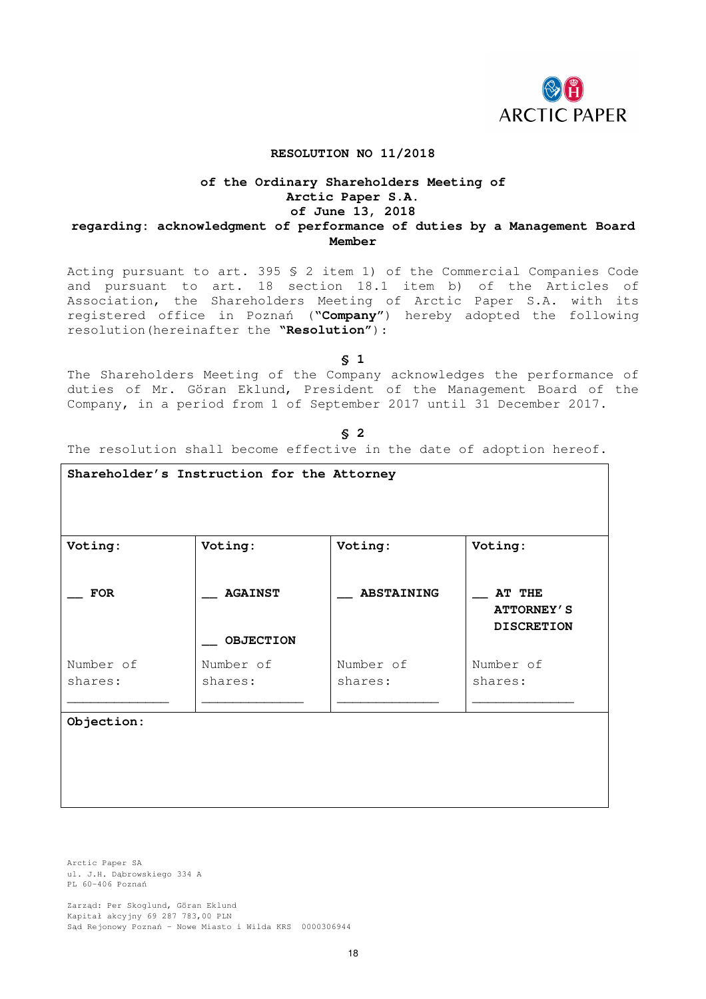

#### **RESOLUTION NO 11/2018**

## **of the Ordinary Shareholders Meeting of Arctic Paper S.A. of June 13, 2018 regarding: acknowledgment of performance of duties by a Management Board Member**

Acting pursuant to art. 395 § 2 item 1) of the Commercial Companies Code and pursuant to art. 18 section 18.1 item b) of the Articles of Association, the Shareholders Meeting of Arctic Paper S.A. with its registered office in Poznań ("**Company**") hereby adopted the following resolution(hereinafter the **"Resolution"**):

#### **§ 1**

The Shareholders Meeting of the Company acknowledges the performance of duties of Mr. Göran Eklund, President of the Management Board of the Company, in a period from 1 of September 2017 until 31 December 2017.

**§ 2** 

Number of shares:

\_\_\_\_\_\_\_\_\_\_\_\_\_

Number of shares:

\_\_\_\_\_\_\_\_\_\_\_\_\_

|            | Shareholder's Instruction for the Attorney |                   |                             |
|------------|--------------------------------------------|-------------------|-----------------------------|
| Voting:    | Voting:                                    | Voting:           | Voting:                     |
| <b>FOR</b> | <b>AGAINST</b>                             | <b>ABSTAINING</b> | AT THE<br><b>ATTORNEY'S</b> |
|            | <b>OBJECTION</b>                           |                   | <b>DISCRETION</b>           |

The resolution shall become effective in the date of adoption hereof.

Arctic Paper SA ul. J.H. Dąbrowskiego 334 A PL 60-406 Poznań

Number of shares:

**Objection:** 

\_\_\_\_\_\_\_\_\_\_\_\_\_

Zarząd: Per Skoglund, Göran Eklund Kapitał akcyjny 69 287 783,00 PLN Sąd Rejonowy Poznań – Nowe Miasto i Wilda KRS 0000306944

Number of shares:

\_\_\_\_\_\_\_\_\_\_\_\_\_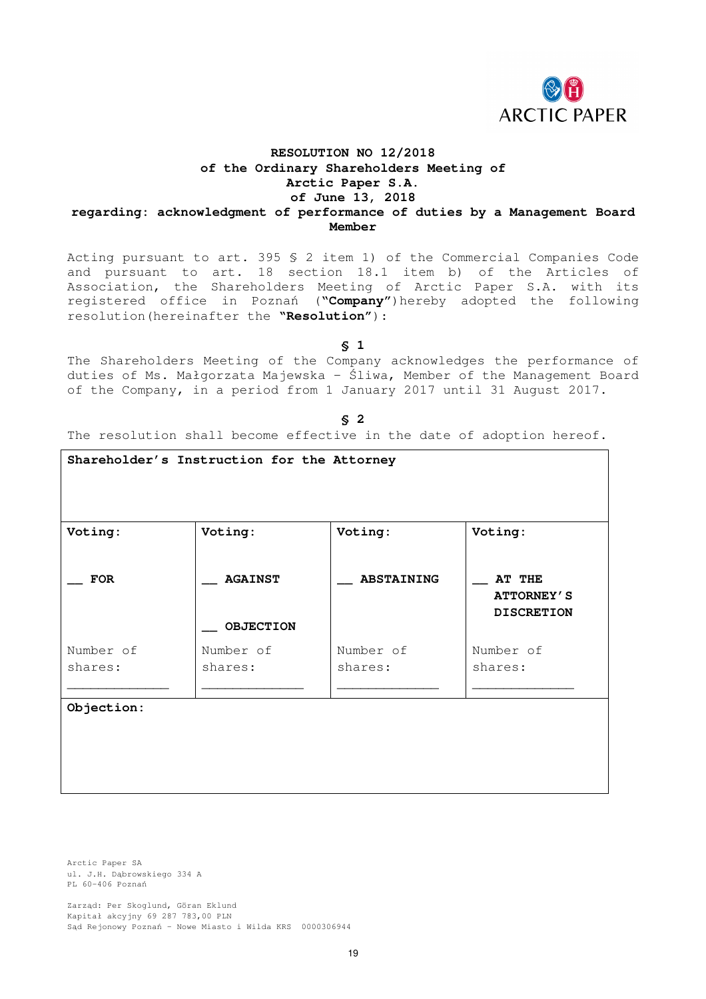

## **RESOLUTION NO 12/2018 of the Ordinary Shareholders Meeting of Arctic Paper S.A. of June 13, 2018**

### **regarding: acknowledgment of performance of duties by a Management Board Member**

Acting pursuant to art. 395 § 2 item 1) of the Commercial Companies Code and pursuant to art. 18 section 18.1 item b) of the Articles of Association, the Shareholders Meeting of Arctic Paper S.A. with its registered office in Poznań ("**Company**")hereby adopted the following resolution(hereinafter the **"Resolution"**):

**§ 1** 

The Shareholders Meeting of the Company acknowledges the performance of duties of Ms. Małgorzata Majewska – Śliwa, Member of the Management Board of the Company, in a period from 1 January 2017 until 31 August 2017.

|                      | Shareholder's Instruction for the Attorney |                      |                                                  |
|----------------------|--------------------------------------------|----------------------|--------------------------------------------------|
| Voting:              | Voting:                                    | Voting:              | Voting:                                          |
| <b>FOR</b>           | <b>AGAINST</b>                             | <b>ABSTAINING</b>    | AT THE<br><b>ATTORNEY'S</b><br><b>DISCRETION</b> |
| Number of<br>shares: | <b>OBJECTION</b><br>Number of<br>shares:   | Number of<br>shares: | Number of<br>shares:                             |
| Objection:           |                                            |                      |                                                  |

**§ 2** 

The resolution shall become effective in the date of adoption hereof.

Arctic Paper SA ul. J.H. Dąbrowskiego 334 A PL 60-406 Poznań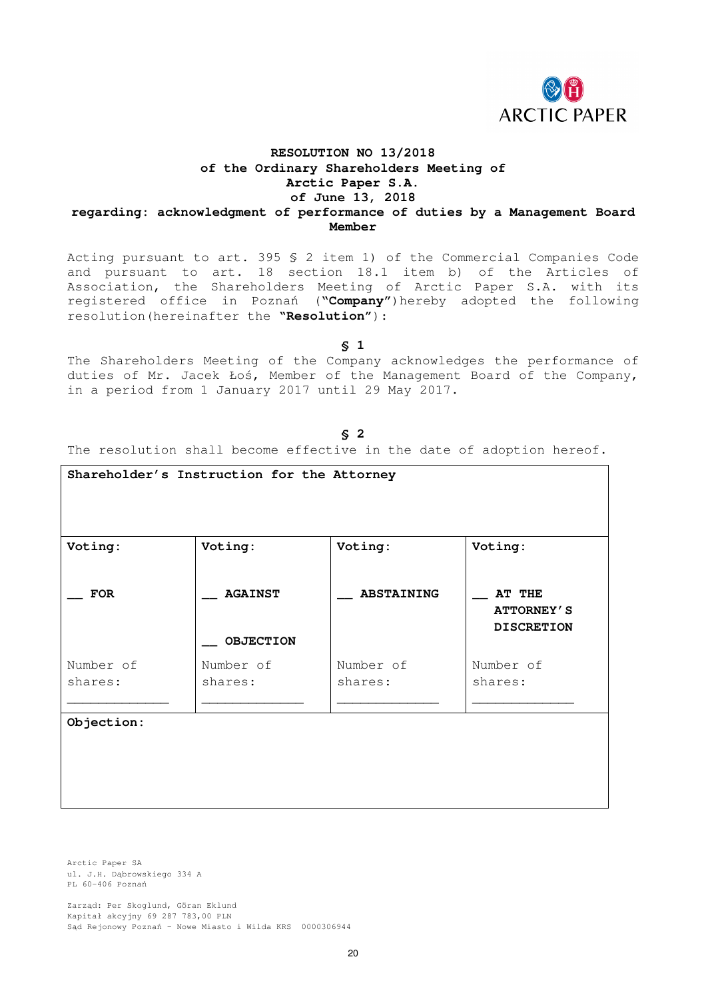

## **RESOLUTION NO 13/2018 of the Ordinary Shareholders Meeting of Arctic Paper S.A. of June 13, 2018**

### **regarding: acknowledgment of performance of duties by a Management Board Member**

Acting pursuant to art. 395 § 2 item 1) of the Commercial Companies Code and pursuant to art. 18 section 18.1 item b) of the Articles of Association, the Shareholders Meeting of Arctic Paper S.A. with its registered office in Poznań ("**Company**")hereby adopted the following resolution(hereinafter the **"Resolution"**):

**§ 1** 

The Shareholders Meeting of the Company acknowledges the performance of duties of Mr. Jacek Łoś, Member of the Management Board of the Company, in a period from 1 January 2017 until 29 May 2017.

| Shareholder's Instruction for the Attorney |                      |                      |                                                  |
|--------------------------------------------|----------------------|----------------------|--------------------------------------------------|
| Voting:                                    | Voting:              | Voting:              | Voting:                                          |
| <b>FOR</b>                                 | <b>AGAINST</b>       | <b>ABSTAINING</b>    | AT THE<br><b>ATTORNEY'S</b><br><b>DISCRETION</b> |
|                                            | <b>OBJECTION</b>     |                      |                                                  |
| Number of<br>shares:                       | Number of<br>shares: | Number of<br>shares: | Number of<br>shares:                             |
| Objection:                                 |                      |                      |                                                  |

**§ 2** 

The resolution shall become effective in the date of adoption hereof.

Arctic Paper SA ul. J.H. Dąbrowskiego 334 A PL 60-406 Poznań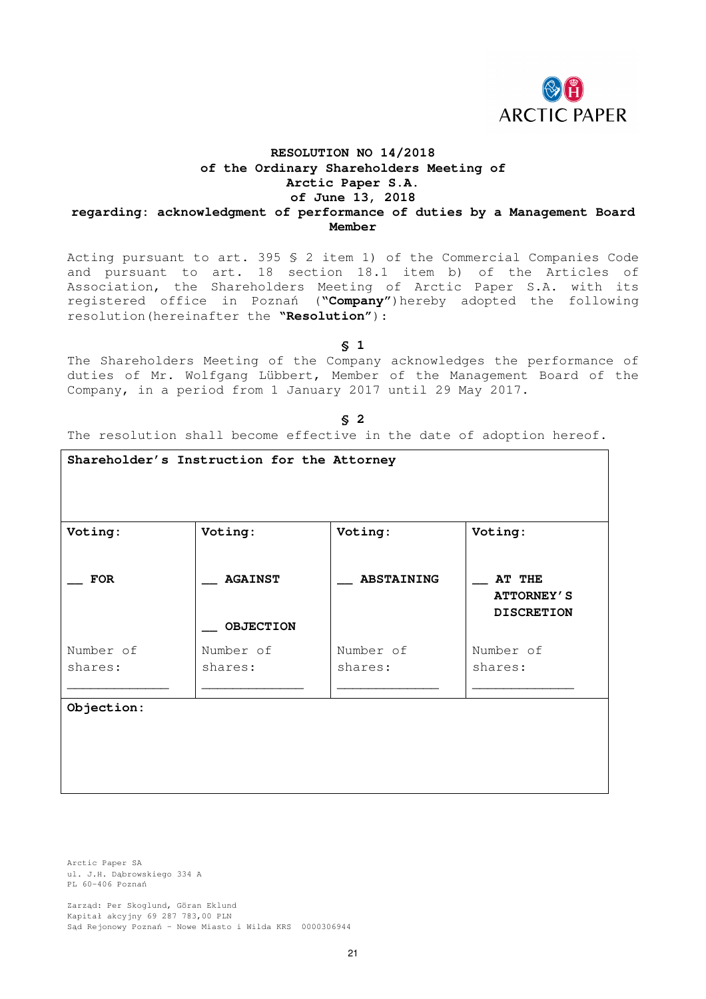

## **RESOLUTION NO 14/2018 of the Ordinary Shareholders Meeting of Arctic Paper S.A. of June 13, 2018**

### **regarding: acknowledgment of performance of duties by a Management Board Member**

Acting pursuant to art. 395 § 2 item 1) of the Commercial Companies Code and pursuant to art. 18 section 18.1 item b) of the Articles of Association, the Shareholders Meeting of Arctic Paper S.A. with its registered office in Poznań ("**Company**")hereby adopted the following resolution(hereinafter the **"Resolution"**):

**§ 1** 

The Shareholders Meeting of the Company acknowledges the performance of duties of Mr. Wolfgang Lübbert, Member of the Management Board of the Company, in a period from 1 January 2017 until 29 May 2017.

The resolution shall become effective in the date of adoption hereof.

| Voting:    | Voting:                            | Voting:           | Voting:                                          |
|------------|------------------------------------|-------------------|--------------------------------------------------|
| <b>FOR</b> | <b>AGAINST</b><br><b>OBJECTION</b> | <b>ABSTAINING</b> | AT THE<br><b>ATTORNEY'S</b><br><b>DISCRETION</b> |
| Number of  | Number of                          | Number of         | Number of                                        |
| shares:    | shares:                            | shares:           | shares:                                          |
|            |                                    |                   |                                                  |
| Objection: |                                    |                   |                                                  |

Arctic Paper SA ul. J.H. Dąbrowskiego 334 A PL 60-406 Poznań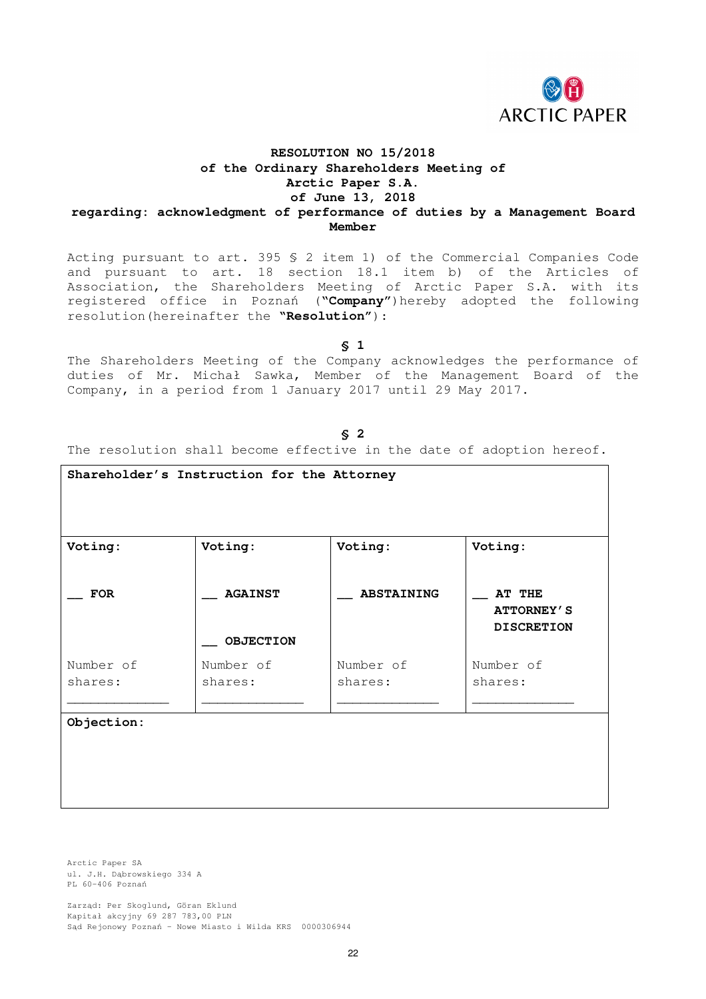

## **RESOLUTION NO 15/2018 of the Ordinary Shareholders Meeting of Arctic Paper S.A. of June 13, 2018**

### **regarding: acknowledgment of performance of duties by a Management Board Member**

Acting pursuant to art. 395 § 2 item 1) of the Commercial Companies Code and pursuant to art. 18 section 18.1 item b) of the Articles of Association, the Shareholders Meeting of Arctic Paper S.A. with its registered office in Poznań ("**Company**")hereby adopted the following resolution(hereinafter the **"Resolution"**):

**§ 1** 

The Shareholders Meeting of the Company acknowledges the performance of duties of Mr. Michał Sawka, Member of the Management Board of the Company, in a period from 1 January 2017 until 29 May 2017.

|            | Shareholder's Instruction for the Attorney |                   |                             |
|------------|--------------------------------------------|-------------------|-----------------------------|
| Voting:    | Voting:                                    | Voting:           | Voting:                     |
| <b>FOR</b> | <b>AGAINST</b>                             | <b>ABSTAINING</b> | AT THE<br><b>ATTORNEY'S</b> |
|            | <b>OBJECTION</b>                           |                   | <b>DISCRETION</b>           |
|            |                                            |                   |                             |
| Number of  | Number of                                  | Number of         | Number of                   |
| shares:    | shares:                                    | shares:           | shares:                     |
|            |                                            |                   |                             |
| Objection: |                                            |                   |                             |

**§ 2** 

The resolution shall become effective in the date of adoption hereof.

Arctic Paper SA ul. J.H. Dąbrowskiego 334 A PL 60-406 Poznań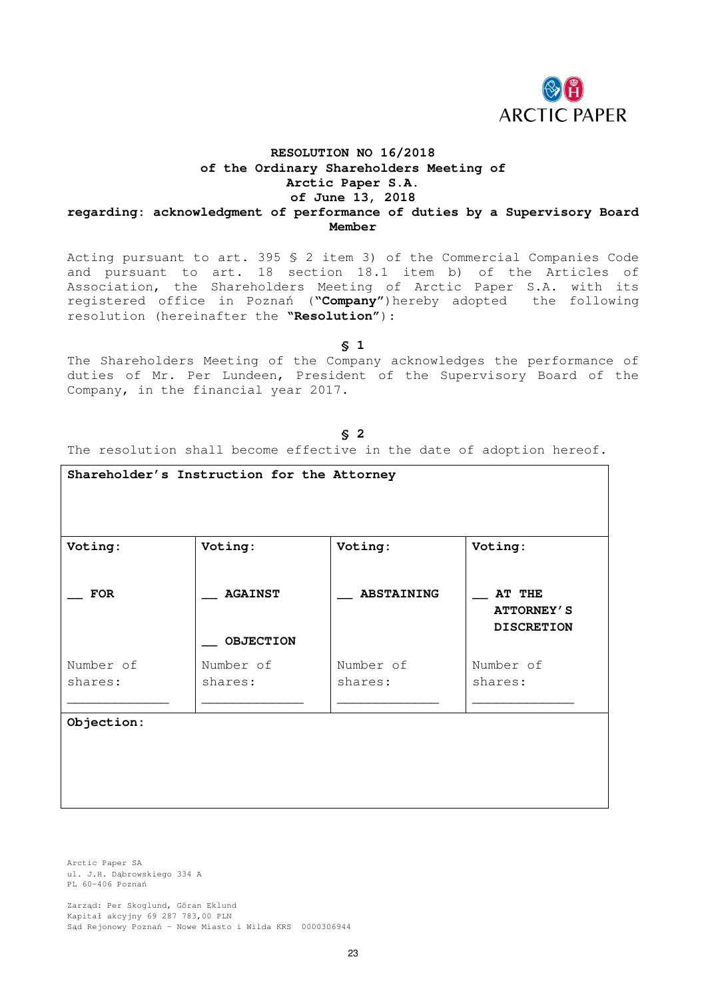

## **RESOLUTION NO 16/2018 of the Ordinary Shareholders Meeting of Arctic Paper S.A. of June 13, 2018**

### **regarding: acknowledgment of performance of duties by a Supervisory Board Member**

Acting pursuant to art. 395 § 2 item 3) of the Commercial Companies Code and pursuant to art. 18 section 18.1 item b) of the Articles of Association, the Shareholders Meeting of Arctic Paper S.A. with its registered office in Poznań ("**Company**")hereby adopted the following resolution (hereinafter the **"Resolution"**):

**§ 1** 

The Shareholders Meeting of the Company acknowledges the performance of duties of Mr. Per Lundeen, President of the Supervisory Board of the Company, in the financial year 2017.

|            | Shareholder's Instruction for the Attorney |                   |                   |
|------------|--------------------------------------------|-------------------|-------------------|
| Voting:    | Voting:                                    | Voting:           | Voting:           |
| <b>FOR</b> | <b>AGAINST</b>                             | <b>ABSTAINING</b> | AT THE            |
|            |                                            |                   | <b>ATTORNEY'S</b> |
|            |                                            |                   | <b>DISCRETION</b> |
|            | <b>OBJECTION</b>                           |                   |                   |
| Number of  | Number of                                  | Number of         | Number of         |
| shares:    | shares:                                    | shares:           | shares:           |
|            |                                            |                   |                   |
|            |                                            |                   |                   |
| Objection: |                                            |                   |                   |
|            |                                            |                   |                   |
|            |                                            |                   |                   |
|            |                                            |                   |                   |
|            |                                            |                   |                   |
|            |                                            |                   |                   |

**§ 2** 

The resolution shall become effective in the date of adoption hereof.

Arctic Paper SA ul. J.H. Dąbrowskiego 334 A PL 60-406 Poznań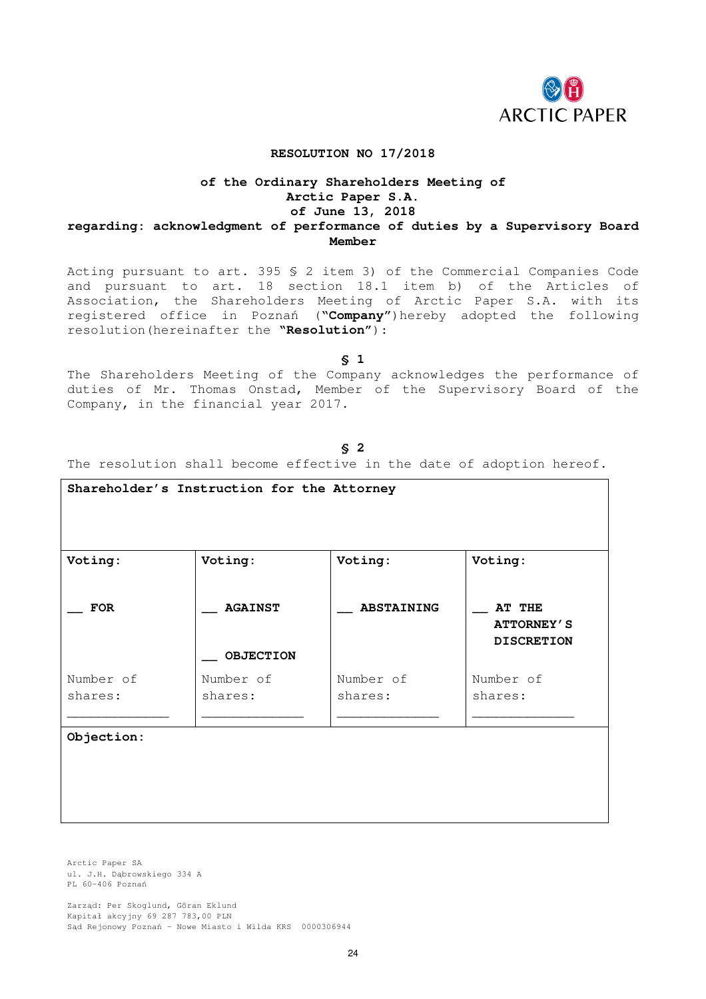

#### **RESOLUTION NO 17/2018**

## **of the Ordinary Shareholders Meeting of Arctic Paper S.A. of June 13, 2018 regarding: acknowledgment of performance of duties by a Supervisory Board Member**

Acting pursuant to art. 395 § 2 item 3) of the Commercial Companies Code and pursuant to art. 18 section 18.1 item b) of the Articles of Association, the Shareholders Meeting of Arctic Paper S.A. with its registered office in Poznań ("**Company**")hereby adopted the following resolution(hereinafter the **"Resolution"**):

**§ 1** 

The Shareholders Meeting of the Company acknowledges the performance of duties of Mr. Thomas Onstad, Member of the Supervisory Board of the Company, in the financial year 2017.

#### **§ 2**

The resolution shall become effective in the date of adoption hereof.

| Shareholder's Instruction for the Attorney |                                    |                      |                                                  |  |
|--------------------------------------------|------------------------------------|----------------------|--------------------------------------------------|--|
| Voting:                                    | Voting:                            | Voting:              | Voting:                                          |  |
| <b>FOR</b>                                 | <b>AGAINST</b><br><b>OBJECTION</b> | <b>ABSTAINING</b>    | AT THE<br><b>ATTORNEY'S</b><br><b>DISCRETION</b> |  |
| Number of<br>shares:                       | Number of<br>shares:               | Number of<br>shares: | Number of<br>shares:                             |  |
| Objection:                                 |                                    |                      |                                                  |  |

Arctic Paper SA ul. J.H. Dąbrowskiego 334 A PL 60-406 Poznań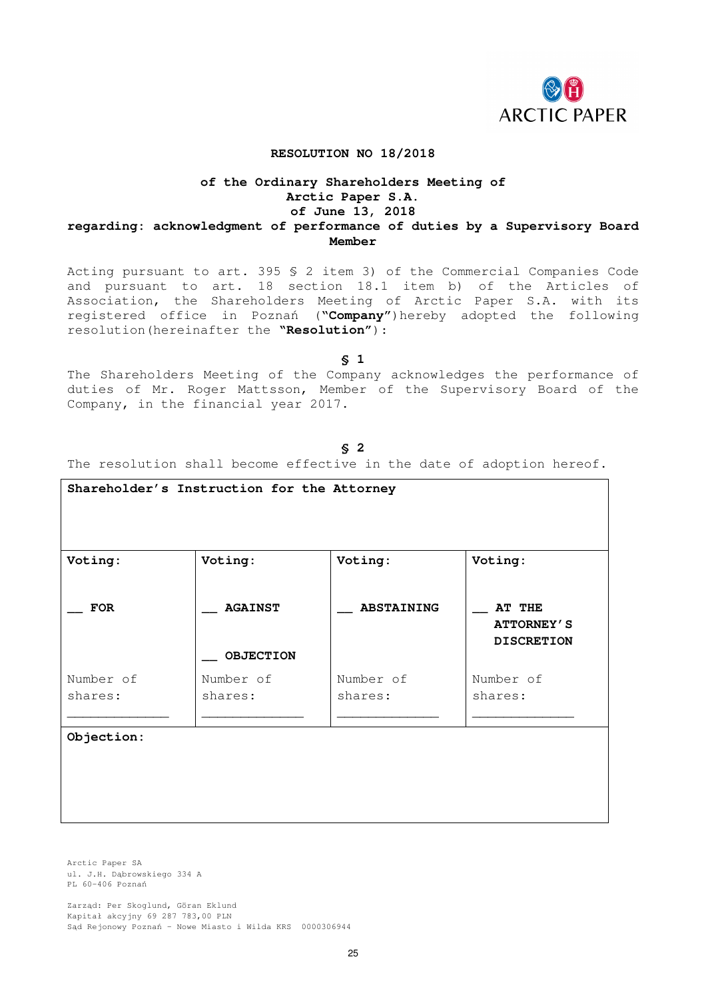

#### **RESOLUTION NO 18/2018**

## **of the Ordinary Shareholders Meeting of Arctic Paper S.A. of June 13, 2018 regarding: acknowledgment of performance of duties by a Supervisory Board Member**

Acting pursuant to art. 395 § 2 item 3) of the Commercial Companies Code and pursuant to art. 18 section 18.1 item b) of the Articles of Association, the Shareholders Meeting of Arctic Paper S.A. with its registered office in Poznań ("**Company**")hereby adopted the following resolution(hereinafter the **"Resolution"**):

**§ 1** 

The Shareholders Meeting of the Company acknowledges the performance of duties of Mr. Roger Mattsson, Member of the Supervisory Board of the Company, in the financial year 2017.

#### **§ 2**

The resolution shall become effective in the date of adoption hereof.

| Shareholder's Instruction for the Attorney |                                    |                      |                                                  |  |
|--------------------------------------------|------------------------------------|----------------------|--------------------------------------------------|--|
|                                            |                                    |                      |                                                  |  |
| Voting:                                    | Voting:                            | Voting:              | Voting:                                          |  |
| <b>FOR</b>                                 | <b>AGAINST</b><br><b>OBJECTION</b> | <b>ABSTAINING</b>    | AT THE<br><b>ATTORNEY'S</b><br><b>DISCRETION</b> |  |
| Number of<br>shares:                       | Number of<br>shares:               | Number of<br>shares: | Number of<br>shares:                             |  |
| Objection:                                 |                                    |                      |                                                  |  |

Arctic Paper SA ul. J.H. Dąbrowskiego 334 A PL 60-406 Poznań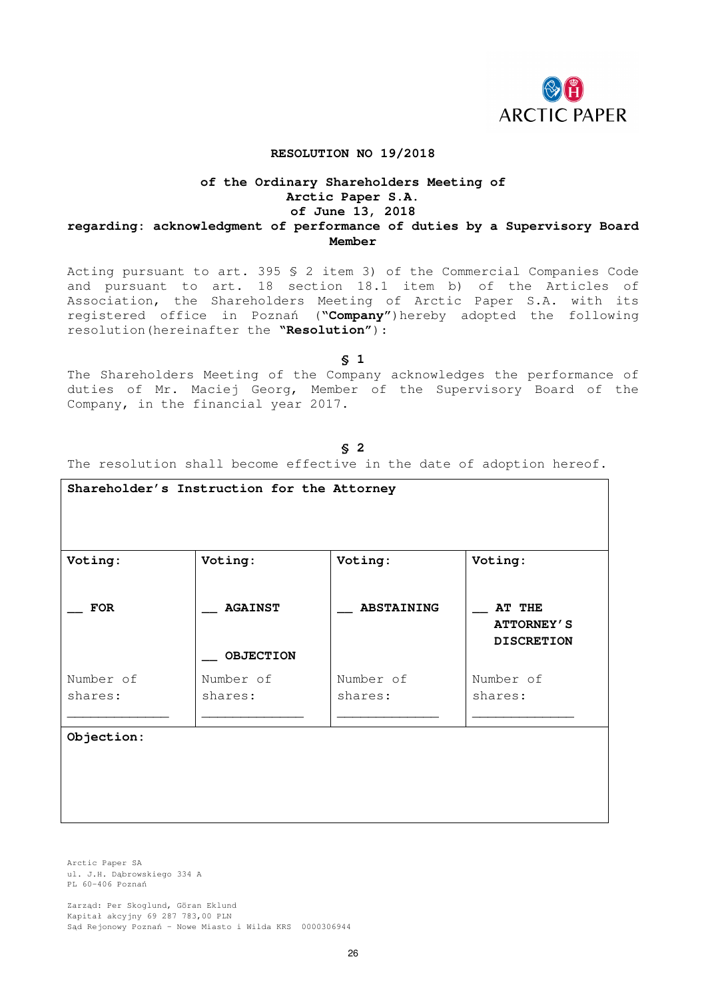

#### **RESOLUTION NO 19/2018**

## **of the Ordinary Shareholders Meeting of Arctic Paper S.A. of June 13, 2018 regarding: acknowledgment of performance of duties by a Supervisory Board Member**

Acting pursuant to art. 395 § 2 item 3) of the Commercial Companies Code and pursuant to art. 18 section 18.1 item b) of the Articles of Association, the Shareholders Meeting of Arctic Paper S.A. with its registered office in Poznań ("**Company**")hereby adopted the following resolution(hereinafter the **"Resolution"**):

**§ 1** 

The Shareholders Meeting of the Company acknowledges the performance of duties of Mr. Maciej Georg, Member of the Supervisory Board of the Company, in the financial year 2017.

#### **§ 2**

The resolution shall become effective in the date of adoption hereof.

|                      | Shareholder's Instruction for the Attorney |                      |                                                  |
|----------------------|--------------------------------------------|----------------------|--------------------------------------------------|
| Voting:              | Voting:                                    | Voting:              | Voting:                                          |
| <b>FOR</b>           | <b>AGAINST</b><br><b>OBJECTION</b>         | <b>ABSTAINING</b>    | AT THE<br><b>ATTORNEY'S</b><br><b>DISCRETION</b> |
| Number of<br>shares: | Number of<br>shares:                       | Number of<br>shares: | Number of<br>shares:                             |
| Objection:           |                                            |                      |                                                  |

Arctic Paper SA ul. J.H. Dąbrowskiego 334 A PL 60-406 Poznań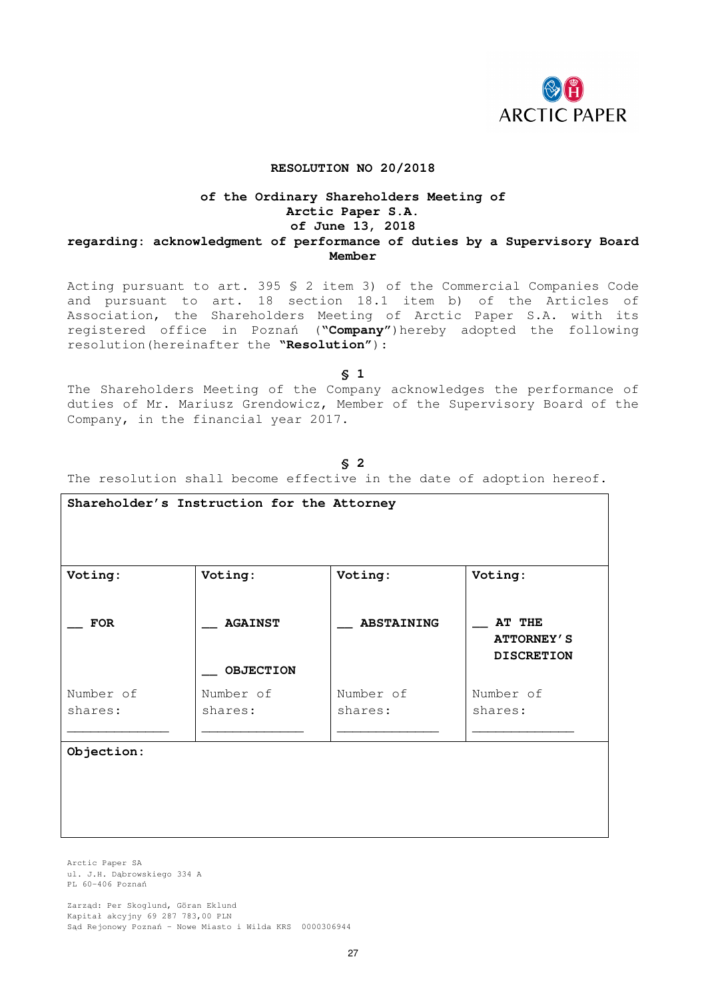

#### **RESOLUTION NO 20/2018**

### **of the Ordinary Shareholders Meeting of Arctic Paper S.A. of June 13, 2018 regarding: acknowledgment of performance of duties by a Supervisory Board Member**

Acting pursuant to art. 395 § 2 item 3) of the Commercial Companies Code and pursuant to art. 18 section 18.1 item b) of the Articles of Association, the Shareholders Meeting of Arctic Paper S.A. with its registered office in Poznań ("**Company**")hereby adopted the following resolution(hereinafter the **"Resolution"**):

**§ 1** 

The Shareholders Meeting of the Company acknowledges the performance of duties of Mr. Mariusz Grendowicz, Member of the Supervisory Board of the Company, in the financial year 2017.

### **§ 2**

The resolution shall become effective in the date of adoption hereof.

|            | Shareholder's Instruction for the Attorney |                   |                                                  |
|------------|--------------------------------------------|-------------------|--------------------------------------------------|
| Voting:    | Voting:                                    | Voting:           | Voting:                                          |
| <b>FOR</b> | <b>AGAINST</b><br><b>OBJECTION</b>         | <b>ABSTAINING</b> | AT THE<br><b>ATTORNEY'S</b><br><b>DISCRETION</b> |
| Number of  | Number of                                  | Number of         | Number of                                        |
| shares:    | shares:                                    | shares:           | shares:                                          |
| Objection: |                                            |                   |                                                  |

Arctic Paper SA ul. J.H. Dąbrowskiego 334 A PL 60-406 Poznań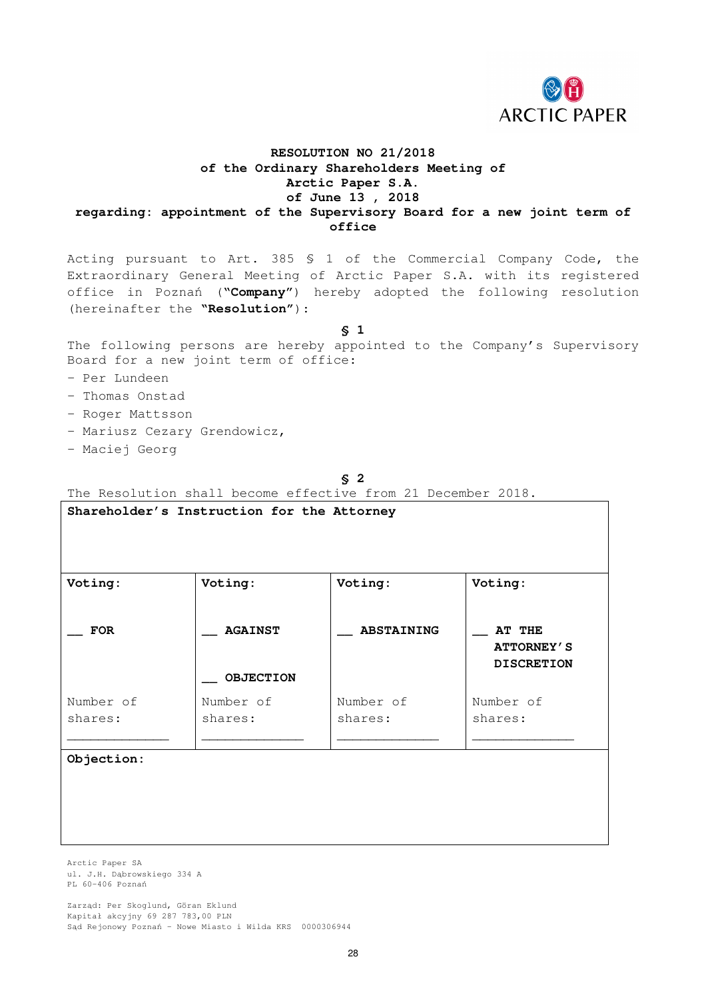

## **RESOLUTION NO 21/2018 of the Ordinary Shareholders Meeting of Arctic Paper S.A. of June 13 , 2018 regarding: appointment of the Supervisory Board for a new joint term of office**

Acting pursuant to Art. 385 § 1 of the Commercial Company Code, the Extraordinary General Meeting of Arctic Paper S.A. with its registered office in Poznań ("**Company**") hereby adopted the following resolution (hereinafter the **"Resolution"**):

**§ 1** 

The following persons are hereby appointed to the Company's Supervisory Board for a new joint term of office:

- Per Lundeen
- Thomas Onstad
- Roger Mattsson
- Mariusz Cezary Grendowicz,
- Maciej Georg

**§ 2** 

The Resolution shall become effective from 21 December 2018.

|            | Shareholder's Instruction for the Attorney |                   |                                                  |
|------------|--------------------------------------------|-------------------|--------------------------------------------------|
| Voting:    | Voting:                                    | Voting:           | Voting:                                          |
| <b>FOR</b> | <b>AGAINST</b><br><b>OBJECTION</b>         | <b>ABSTAINING</b> | AT THE<br><b>ATTORNEY'S</b><br><b>DISCRETION</b> |
| Number of  | Number of                                  | Number of         | Number of                                        |
| shares:    | shares:                                    | shares:           | shares:                                          |
| Objection: |                                            |                   |                                                  |

Arctic Paper SA ul. J.H. Dąbrowskiego 334 A PL 60-406 Poznań